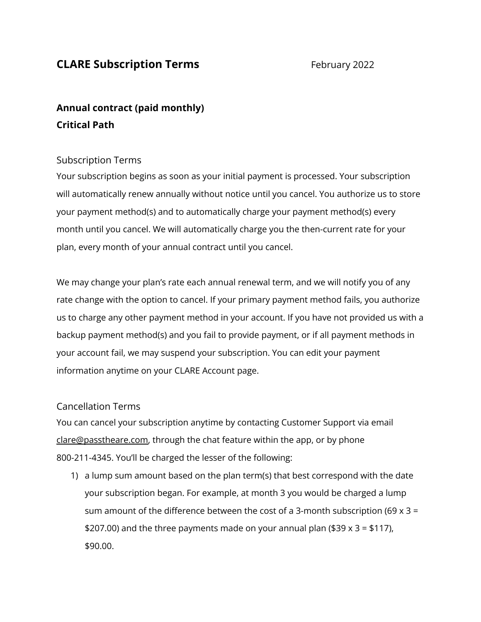## **CLARE Subscription Terms** February 2022

# **Annual contract (paid monthly) Critical Path**

### Subscription Terms

Your subscription begins as soon as your initial payment is processed. Your subscription will automatically renew annually without notice until you cancel. You authorize us to store your payment method(s) and to automatically charge your payment method(s) every month until you cancel. We will automatically charge you the then-current rate for your plan, every month of your annual contract until you cancel.

We may change your plan's rate each annual renewal term, and we will notify you of any rate change with the option to cancel. If your primary payment method fails, you authorize us to charge any other payment method in your account. If you have not provided us with a backup payment method(s) and you fail to provide payment, or if all payment methods in your account fail, we may suspend your subscription. You can edit your payment information anytime on your CLARE Account page.

#### Cancellation Terms

You can cancel your subscription anytime by contacting Customer Support via email [clare@passtheare.com,](mailto:clare@passtheare.com) through the chat feature within the app, or by phone 800-211-4345. You'll be charged the lesser of the following:

1) a lump sum amount based on the plan term(s) that best correspond with the date your subscription began. For example, at month 3 you would be charged a lump sum amount of the difference between the cost of a 3-month subscription (69 x 3 = \$207.00) and the three payments made on your annual plan (\$39  $\times$  3 = \$117), \$90.00.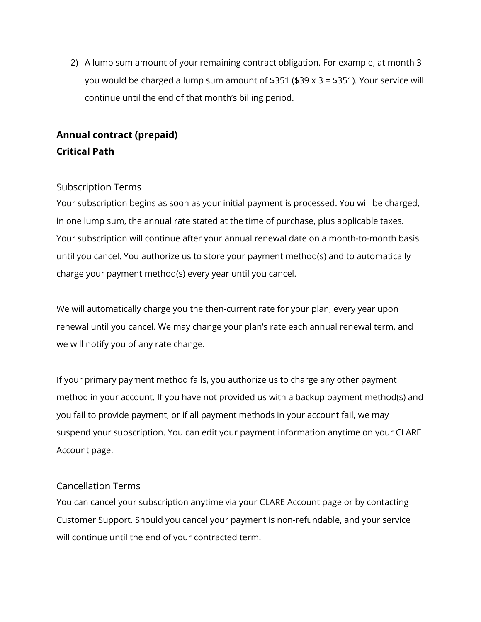2) A lump sum amount of your remaining contract obligation. For example, at month 3 you would be charged a lump sum amount of \$351 (\$39 x 3 = \$351). Your service will continue until the end of that month's billing period.

# **Annual contract (prepaid) Critical Path**

## Subscription Terms

Your subscription begins as soon as your initial payment is processed. You will be charged, in one lump sum, the annual rate stated at the time of purchase, plus applicable taxes. Your subscription will continue after your annual renewal date on a month-to-month basis until you cancel. You authorize us to store your payment method(s) and to automatically charge your payment method(s) every year until you cancel.

We will automatically charge you the then-current rate for your plan, every year upon renewal until you cancel. We may change your plan's rate each annual renewal term, and we will notify you of any rate change.

If your primary payment method fails, you authorize us to charge any other payment method in your account. If you have not provided us with a backup payment method(s) and you fail to provide payment, or if all payment methods in your account fail, we may suspend your subscription. You can edit your payment information anytime on your CLARE Account page.

### Cancellation Terms

You can cancel your subscription anytime via your CLARE Account page or by contacting Customer Support. Should you cancel your payment is non-refundable, and your service will continue until the end of your contracted term.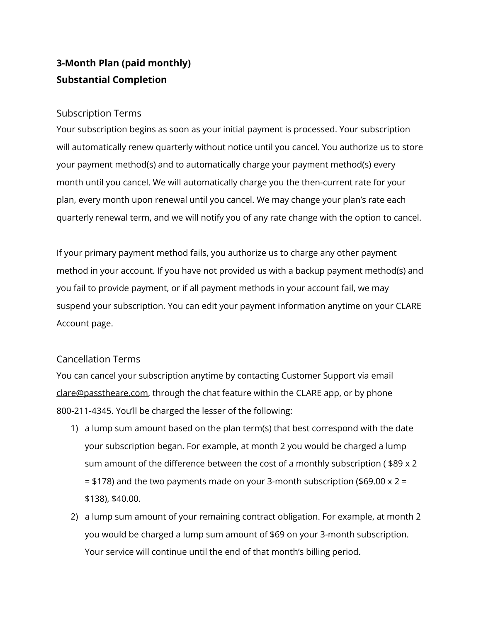## **3-Month Plan (paid monthly) Substantial Completion**

#### Subscription Terms

Your subscription begins as soon as your initial payment is processed. Your subscription will automatically renew quarterly without notice until you cancel. You authorize us to store your payment method(s) and to automatically charge your payment method(s) every month until you cancel. We will automatically charge you the then-current rate for your plan, every month upon renewal until you cancel. We may change your plan's rate each quarterly renewal term, and we will notify you of any rate change with the option to cancel.

If your primary payment method fails, you authorize us to charge any other payment method in your account. If you have not provided us with a backup payment method(s) and you fail to provide payment, or if all payment methods in your account fail, we may suspend your subscription. You can edit your payment information anytime on your CLARE Account page.

### Cancellation Terms

You can cancel your subscription anytime by contacting Customer Support via email [clare@passtheare.com,](mailto:clare@passtheare.com) through the chat feature within the CLARE app, or by phone 800-211-4345. You'll be charged the lesser of the following:

- 1) a lump sum amount based on the plan term(s) that best correspond with the date your subscription began. For example, at month 2 you would be charged a lump sum amount of the difference between the cost of a monthly subscription ( \$89 x 2 = \$178) and the two payments made on your 3-month subscription (\$69.00 x 2 = \$138), \$40.00.
- 2) a lump sum amount of your remaining contract obligation. For example, at month 2 you would be charged a lump sum amount of \$69 on your 3-month subscription. Your service will continue until the end of that month's billing period.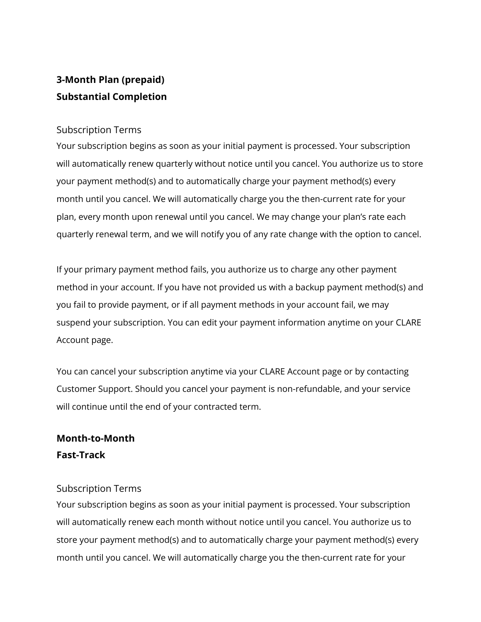# **3-Month Plan (prepaid) Substantial Completion**

#### Subscription Terms

Your subscription begins as soon as your initial payment is processed. Your subscription will automatically renew quarterly without notice until you cancel. You authorize us to store your payment method(s) and to automatically charge your payment method(s) every month until you cancel. We will automatically charge you the then-current rate for your plan, every month upon renewal until you cancel. We may change your plan's rate each quarterly renewal term, and we will notify you of any rate change with the option to cancel.

If your primary payment method fails, you authorize us to charge any other payment method in your account. If you have not provided us with a backup payment method(s) and you fail to provide payment, or if all payment methods in your account fail, we may suspend your subscription. You can edit your payment information anytime on your CLARE Account page.

You can cancel your subscription anytime via your CLARE Account page or by contacting Customer Support. Should you cancel your payment is non-refundable, and your service will continue until the end of your contracted term.

## **Month-to-Month Fast-Track**

### Subscription Terms

Your subscription begins as soon as your initial payment is processed. Your subscription will automatically renew each month without notice until you cancel. You authorize us to store your payment method(s) and to automatically charge your payment method(s) every month until you cancel. We will automatically charge you the then-current rate for your